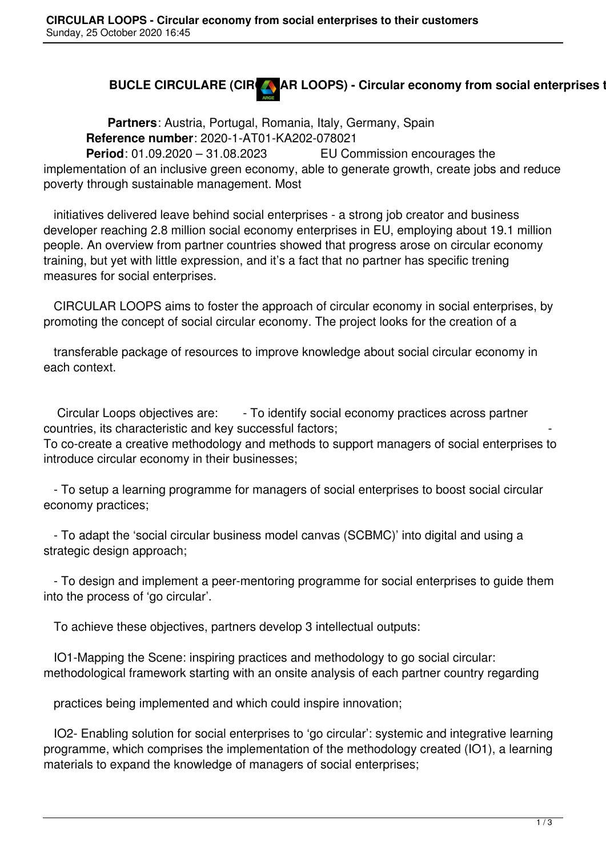## **BUCLE CIRCULARE (CIRCA) AR LOOPS) - Circular economy from social enterprises to the interprises**

 **Partners**: Austria, Portugal, Romania, Italy, Germany, Spain **Reference number**: 2020-1-AT01-KA202-078021 **Period**: 01.09.2020 – 31.08.2023 EU Commission encourages the

implementation of an inclusive green economy, able to generate growth, create jobs and reduce poverty through sustainable management. Most

 initiatives delivered leave behind social enterprises - a strong job creator and business developer reaching 2.8 million social economy enterprises in EU, employing about 19.1 million people. An overview from partner countries showed that progress arose on circular economy training, but yet with little expression, and it's a fact that no partner has specific trening measures for social enterprises.

 CIRCULAR LOOPS aims to foster the approach of circular economy in social enterprises, by promoting the concept of social circular economy. The project looks for the creation of a

 transferable package of resources to improve knowledge about social circular economy in each context.

Circular Loops objectives are: - To identify social economy practices across partner countries, its characteristic and key successful factors;

To co-create a creative methodology and methods to support managers of social enterprises to introduce circular economy in their businesses;

 - To setup a learning programme for managers of social enterprises to boost social circular economy practices;

 - To adapt the 'social circular business model canvas (SCBMC)' into digital and using a strategic design approach;

 - To design and implement a peer-mentoring programme for social enterprises to guide them into the process of 'go circular'.

To achieve these objectives, partners develop 3 intellectual outputs:

 IO1-Mapping the Scene: inspiring practices and methodology to go social circular: methodological framework starting with an onsite analysis of each partner country regarding

practices being implemented and which could inspire innovation;

 IO2- Enabling solution for social enterprises to 'go circular': systemic and integrative learning programme, which comprises the implementation of the methodology created (IO1), a learning materials to expand the knowledge of managers of social enterprises;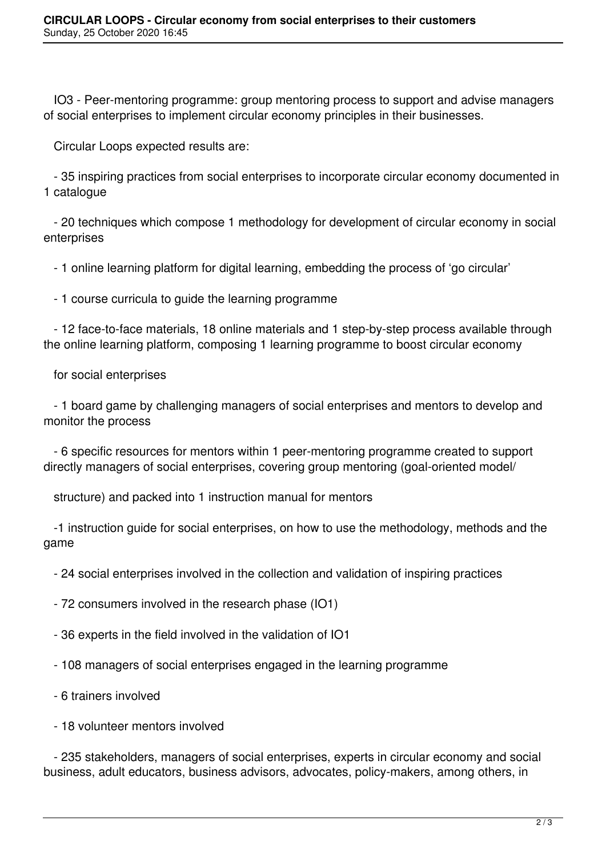IO3 - Peer-mentoring programme: group mentoring process to support and advise managers of social enterprises to implement circular economy principles in their businesses.

Circular Loops expected results are:

 - 35 inspiring practices from social enterprises to incorporate circular economy documented in 1 catalogue

 - 20 techniques which compose 1 methodology for development of circular economy in social enterprises

- 1 online learning platform for digital learning, embedding the process of 'go circular'

- 1 course curricula to guide the learning programme

 - 12 face-to-face materials, 18 online materials and 1 step-by-step process available through the online learning platform, composing 1 learning programme to boost circular economy

for social enterprises

 - 1 board game by challenging managers of social enterprises and mentors to develop and monitor the process

 - 6 specific resources for mentors within 1 peer-mentoring programme created to support directly managers of social enterprises, covering group mentoring (goal-oriented model/

structure) and packed into 1 instruction manual for mentors

 -1 instruction guide for social enterprises, on how to use the methodology, methods and the game

- 24 social enterprises involved in the collection and validation of inspiring practices

- 72 consumers involved in the research phase (IO1)

- 36 experts in the field involved in the validation of IO1

- 108 managers of social enterprises engaged in the learning programme

- 6 trainers involved

- 18 volunteer mentors involved

 - 235 stakeholders, managers of social enterprises, experts in circular economy and social business, adult educators, business advisors, advocates, policy-makers, among others, in